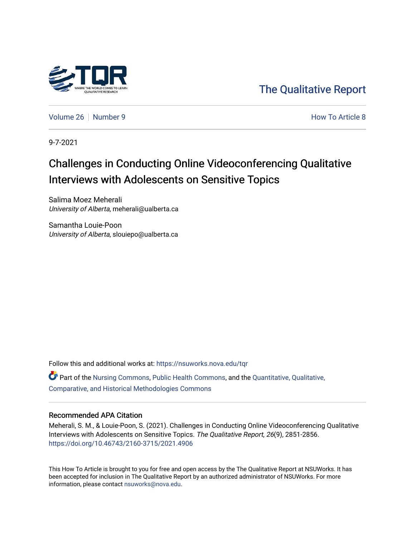

[The Qualitative Report](https://nsuworks.nova.edu/tqr) 

[Volume 26](https://nsuworks.nova.edu/tqr/vol26) [Number 9](https://nsuworks.nova.edu/tqr/vol26/iss9) **How To Article 8** Number 9 **How To Article 8** 

9-7-2021

# Challenges in Conducting Online Videoconferencing Qualitative Interviews with Adolescents on Sensitive Topics

Salima Moez Meherali University of Alberta, meherali@ualberta.ca

Samantha Louie-Poon University of Alberta, slouiepo@ualberta.ca

Follow this and additional works at: [https://nsuworks.nova.edu/tqr](https://nsuworks.nova.edu/tqr?utm_source=nsuworks.nova.edu%2Ftqr%2Fvol26%2Fiss9%2F8&utm_medium=PDF&utm_campaign=PDFCoverPages)   $\bullet$  Part of the [Nursing Commons,](http://network.bepress.com/hgg/discipline/718?utm_source=nsuworks.nova.edu%2Ftqr%2Fvol26%2Fiss9%2F8&utm_medium=PDF&utm_campaign=PDFCoverPages) [Public Health Commons,](http://network.bepress.com/hgg/discipline/738?utm_source=nsuworks.nova.edu%2Ftqr%2Fvol26%2Fiss9%2F8&utm_medium=PDF&utm_campaign=PDFCoverPages) and the Quantitative, Qualitative, [Comparative, and Historical Methodologies Commons](http://network.bepress.com/hgg/discipline/423?utm_source=nsuworks.nova.edu%2Ftqr%2Fvol26%2Fiss9%2F8&utm_medium=PDF&utm_campaign=PDFCoverPages) 

### Recommended APA Citation

Meherali, S. M., & Louie-Poon, S. (2021). Challenges in Conducting Online Videoconferencing Qualitative Interviews with Adolescents on Sensitive Topics. The Qualitative Report, 26(9), 2851-2856. <https://doi.org/10.46743/2160-3715/2021.4906>

This How To Article is brought to you for free and open access by the The Qualitative Report at NSUWorks. It has been accepted for inclusion in The Qualitative Report by an authorized administrator of NSUWorks. For more information, please contact [nsuworks@nova.edu.](mailto:nsuworks@nova.edu)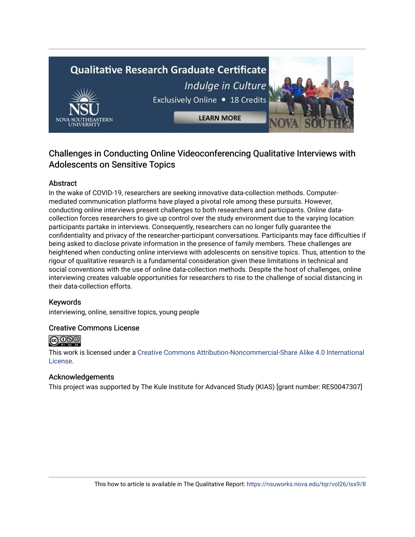# **Qualitative Research Graduate Certificate** Indulge in Culture Exclusively Online . 18 Credits



# Challenges in Conducting Online Videoconferencing Qualitative Interviews with Adolescents on Sensitive Topics

# Abstract

In the wake of COVID-19, researchers are seeking innovative data-collection methods. Computermediated communication platforms have played a pivotal role among these pursuits. However, conducting online interviews present challenges to both researchers and participants. Online datacollection forces researchers to give up control over the study environment due to the varying location participants partake in interviews. Consequently, researchers can no longer fully guarantee the confidentiality and privacy of the researcher-participant conversations. Participants may face difficulties if being asked to disclose private information in the presence of family members. These challenges are heightened when conducting online interviews with adolescents on sensitive topics. Thus, attention to the rigour of qualitative research is a fundamental consideration given these limitations in technical and social conventions with the use of online data-collection methods. Despite the host of challenges, online interviewing creates valuable opportunities for researchers to rise to the challenge of social distancing in their data-collection efforts.

# Keywords

interviewing, online, sensitive topics, young people

# Creative Commons License



This work is licensed under a [Creative Commons Attribution-Noncommercial-Share Alike 4.0 International](https://creativecommons.org/licenses/by-nc-sa/4.0/)  [License](https://creativecommons.org/licenses/by-nc-sa/4.0/).

### Acknowledgements

This project was supported by The Kule Institute for Advanced Study (KIAS) [grant number: RES0047307]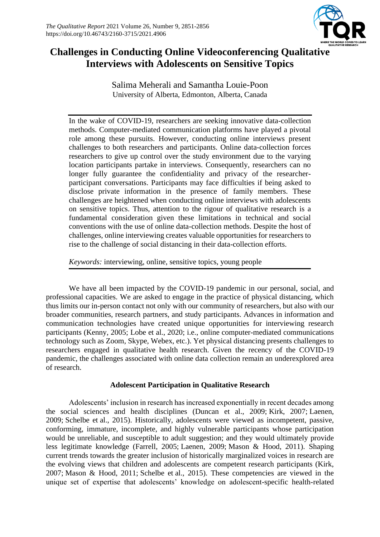

# **Challenges in Conducting Online Videoconferencing Qualitative Interviews with Adolescents on Sensitive Topics**

Salima Meherali and Samantha Louie-Poon University of Alberta, Edmonton, Alberta, Canada

In the wake of COVID-19, researchers are seeking innovative data-collection methods. Computer-mediated communication platforms have played a pivotal role among these pursuits. However, conducting online interviews present challenges to both researchers and participants. Online data-collection forces researchers to give up control over the study environment due to the varying location participants partake in interviews. Consequently, researchers can no longer fully guarantee the confidentiality and privacy of the researcherparticipant conversations. Participants may face difficulties if being asked to disclose private information in the presence of family members. These challenges are heightened when conducting online interviews with adolescents on sensitive topics. Thus, attention to the rigour of qualitative research is a fundamental consideration given these limitations in technical and social conventions with the use of online data-collection methods. Despite the host of challenges, online interviewing creates valuable opportunities for researchers to rise to the challenge of social distancing in their data-collection efforts.

*Keywords:* interviewing, online, sensitive topics, young people

We have all been impacted by the COVID-19 pandemic in our personal, social, and professional capacities. We are asked to engage in the practice of physical distancing, which thus limits our in-person contact not only with our community of researchers, but also with our broader communities, research partners, and study participants. Advances in information and communication technologies have created unique opportunities for interviewing research participants (Kenny, 2005; Lobe et al., 2020; i.e., online computer-mediated communications technology such as Zoom, Skype, Webex, etc.). Yet physical distancing presents challenges to researchers engaged in qualitative health research. Given the recency of the COVID-19 pandemic, the challenges associated with online data collection remain an underexplored area of research.

# **Adolescent Participation in Qualitative Research**

Adolescents' inclusion in research has increased exponentially in recent decades among the social sciences and health disciplines (Duncan et al., 2009; Kirk, 2007; Laenen, 2009; Schelbe et al., 2015). Historically, adolescents were viewed as incompetent, passive, conforming, immature, incomplete, and highly vulnerable participants whose participation would be unreliable, and susceptible to adult suggestion; and they would ultimately provide less legitimate knowledge (Farrell, 2005; Laenen, 2009; Mason & Hood, 2011). Shaping current trends towards the greater inclusion of historically marginalized voices in research are the evolving views that children and adolescents are competent research participants (Kirk, 2007; Mason & Hood, 2011; Schelbe et al., 2015). These competencies are viewed in the unique set of expertise that adolescents' knowledge on adolescent-specific health-related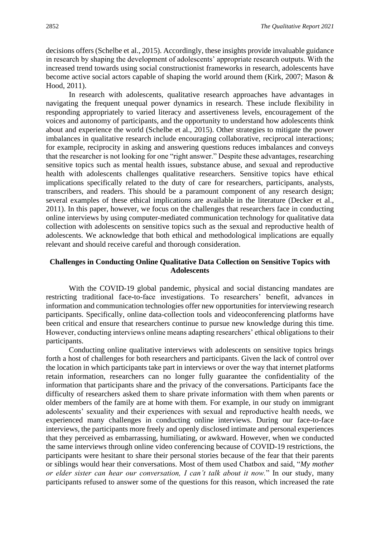decisions offers (Schelbe et al., 2015). Accordingly, these insights provide invaluable guidance in research by shaping the development of adolescents' appropriate research outputs. With the increased trend towards using social constructionist frameworks in research, adolescents have become active social actors capable of shaping the world around them (Kirk, 2007; Mason & Hood, 2011).

In research with adolescents, qualitative research approaches have advantages in navigating the frequent unequal power dynamics in research. These include flexibility in responding appropriately to varied literacy and assertiveness levels, encouragement of the voices and autonomy of participants, and the opportunity to understand how adolescents think about and experience the world (Schelbe et al., 2015). Other strategies to mitigate the power imbalances in qualitative research include encouraging collaborative, reciprocal interactions; for example, reciprocity in asking and answering questions reduces imbalances and conveys that the researcher is not looking for one "right answer." Despite these advantages, researching sensitive topics such as mental health issues, substance abuse, and sexual and reproductive health with adolescents challenges qualitative researchers. Sensitive topics have ethical implications specifically related to the duty of care for researchers, participants, analysts, transcribers, and readers. This should be a paramount component of any research design; several examples of these ethical implications are available in the literature (Decker et al., 2011). In this paper, however, we focus on the challenges that researchers face in conducting online interviews by using computer-mediated communication technology for qualitative data collection with adolescents on sensitive topics such as the sexual and reproductive health of adolescents. We acknowledge that both ethical and methodological implications are equally relevant and should receive careful and thorough consideration.

### **Challenges in Conducting Online Qualitative Data Collection on Sensitive Topics with Adolescents**

With the COVID-19 global pandemic, physical and social distancing mandates are restricting traditional face-to-face investigations. To researchers' benefit, advances in information and communication technologies offer new opportunities for interviewing research participants. Specifically, online data-collection tools and videoconferencing platforms have been critical and ensure that researchers continue to pursue new knowledge during this time. However, conducting interviews online means adapting researchers' ethical obligations to their participants.

Conducting online qualitative interviews with adolescents on sensitive topics brings forth a host of challenges for both researchers and participants. Given the lack of control over the location in which participants take part in interviews or over the way that internet platforms retain information, researchers can no longer fully guarantee the confidentiality of the information that participants share and the privacy of the conversations. Participants face the difficulty of researchers asked them to share private information with them when parents or older members of the family are at home with them. For example, in our study on immigrant adolescents' sexuality and their experiences with sexual and reproductive health needs, we experienced many challenges in conducting online interviews. During our face-to-face interviews, the participants more freely and openly disclosed intimate and personal experiences that they perceived as embarrassing, humiliating, or awkward. However, when we conducted the same interviews through online video conferencing because of COVID-19 restrictions, the participants were hesitant to share their personal stories because of the fear that their parents or siblings would hear their conversations. Most of them used Chatbox and said, "*My mother or elder sister can hear our conversation, I can't talk about it now.*" In our study, many participants refused to answer some of the questions for this reason, which increased the rate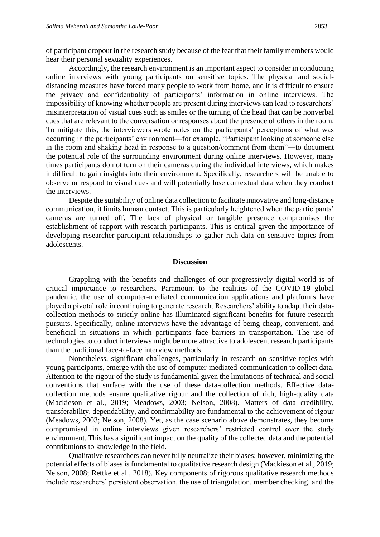of participant dropout in the research study because of the fear that their family members would hear their personal sexuality experiences.

Accordingly, the research environment is an important aspect to consider in conducting online interviews with young participants on sensitive topics. The physical and socialdistancing measures have forced many people to work from home, and it is difficult to ensure the privacy and confidentiality of participants' information in online interviews. The impossibility of knowing whether people are present during interviews can lead to researchers' misinterpretation of visual cues such as smiles or the turning of the head that can be nonverbal cues that are relevant to the conversation or responses about the presence of others in the room. To mitigate this, the interviewers wrote notes on the participants' perceptions of what was occurring in the participants' environment—for example, "Participant looking at someone else in the room and shaking head in response to a question/comment from them"—to document the potential role of the surrounding environment during online interviews. However, many times participants do not turn on their cameras during the individual interviews, which makes it difficult to gain insights into their environment. Specifically, researchers will be unable to observe or respond to visual cues and will potentially lose contextual data when they conduct the interviews.

Despite the suitability of online data collection to facilitate innovative and long-distance communication, it limits human contact. This is particularly heightened when the participants' cameras are turned off. The lack of physical or tangible presence compromises the establishment of rapport with research participants. This is critical given the importance of developing researcher-participant relationships to gather rich data on sensitive topics from adolescents.

### **Discussion**

Grappling with the benefits and challenges of our progressively digital world is of critical importance to researchers. Paramount to the realities of the COVID-19 global pandemic, the use of computer-mediated communication applications and platforms have played a pivotal role in continuing to generate research. Researchers' ability to adapt their datacollection methods to strictly online has illuminated significant benefits for future research pursuits. Specifically, online interviews have the advantage of being cheap, convenient, and beneficial in situations in which participants face barriers in transportation. The use of technologies to conduct interviews might be more attractive to adolescent research participants than the traditional face-to-face interview methods.

Nonetheless, significant challenges, particularly in research on sensitive topics with young participants, emerge with the use of computer-mediated-communication to collect data. Attention to the rigour of the study is fundamental given the limitations of technical and social conventions that surface with the use of these data-collection methods. Effective datacollection methods ensure qualitative rigour and the collection of rich, high-quality data (Mackieson et al., 2019; Meadows, 2003; Nelson, 2008). Matters of data credibility, transferability, dependability, and confirmability are fundamental to the achievement of rigour (Meadows, 2003; Nelson, 2008). Yet, as the case scenario above demonstrates, they become compromised in online interviews given researchers' restricted control over the study environment. This has a significant impact on the quality of the collected data and the potential contributions to knowledge in the field.

Qualitative researchers can never fully neutralize their biases; however, minimizing the potential effects of biases is fundamental to qualitative research design (Mackieson et al., 2019; Nelson, 2008; Rettke et al., 2018). Key components of rigorous qualitative research methods include researchers' persistent observation, the use of triangulation, member checking, and the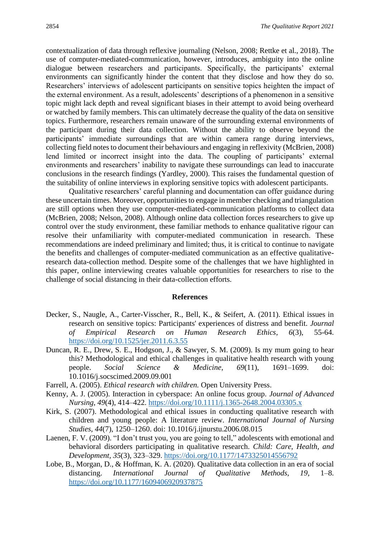contextualization of data through reflexive journaling (Nelson, 2008; Rettke et al., 2018). The use of computer-mediated-communication, however, introduces, ambiguity into the online dialogue between researchers and participants. Specifically, the participants' external environments can significantly hinder the content that they disclose and how they do so. Researchers' interviews of adolescent participants on sensitive topics heighten the impact of the external environment. As a result, adolescents' descriptions of a phenomenon in a sensitive topic might lack depth and reveal significant biases in their attempt to avoid being overheard or watched by family members. This can ultimately decrease the quality of the data on sensitive topics. Furthermore, researchers remain unaware of the surrounding external environments of the participant during their data collection. Without the ability to observe beyond the participants' immediate surroundings that are within camera range during interviews, collecting field notes to document their behaviours and engaging in reflexivity (McBrien, 2008) lend limited or incorrect insight into the data. The coupling of participants' external environments and researchers' inability to navigate these surroundings can lead to inaccurate conclusions in the research findings (Yardley, 2000). This raises the fundamental question of the suitability of online interviews in exploring sensitive topics with adolescent participants.

Qualitative researchers' careful planning and documentation can offer guidance during these uncertain times. Moreover, opportunities to engage in member checking and triangulation are still options when they use computer-mediated-communication platforms to collect data (McBrien, 2008; Nelson, 2008). Although online data collection forces researchers to give up control over the study environment, these familiar methods to enhance qualitative rigour can resolve their unfamiliarity with computer-mediated communication in research. These recommendations are indeed preliminary and limited; thus, it is critical to continue to navigate the benefits and challenges of computer-mediated communication as an effective qualitativeresearch data-collection method. Despite some of the challenges that we have highlighted in this paper, online interviewing creates valuable opportunities for researchers to rise to the challenge of social distancing in their data-collection efforts.

#### **References**

- Decker, S., Naugle, A., Carter-Visscher, R., Bell, K., & Seifert, A. (2011). Ethical issues in research on sensitive topics: Participants' experiences of distress and benefit*. Journal of Empirical Research on Human Research Ethics*, *6*(3), 55-64. [https://doi.org/10.1525/jer.2011.6.3.55](https://doi.org/10.1525%2Fjer.2011.6.3.55)
- Duncan, R. E., Drew, S. E., Hodgson, J., & Sawyer, S. M. (2009). Is my mum going to hear this? Methodological and ethical challenges in qualitative health research with young people. *Social Science & Medicine, 69*(11), 1691–1699. doi: 10.1016/j.socscimed.2009.09.001
- Farrell, A. (2005). *Ethical research with children.* Open University Press.
- Kenny, A. J. (2005). Interaction in cyberspace: An online focus group. *Journal of Advanced Nursing, 49*(4), 414–422.<https://doi.org/10.1111/j.1365-2648.2004.03305.x>
- Kirk, S. (2007). Methodological and ethical issues in conducting qualitative research with children and young people: A literature review. *International Journal of Nursing Studies, 44*(7), 1250–1260. doi: 10.1016/j.ijnurstu.2006.08.015
- Laenen, F. V. (2009). "I don't trust you, you are going to tell," adolescents with emotional and behavioral disorders participating in qualitative research. *Child: Care, Health, and Development, 35*(3), 323–329. [https://doi.org/10.1177/1473325014556792](https://doi.org/10.1177%2F1473325014556792)
- Lobe, B., Morgan, D., & Hoffman, K. A. (2020). Qualitative data collection in an era of social distancing. *International Journal of Qualitative Methods, 19*, 1–8. [https://doi.org/10.1177/1609406920937875](https://doi.org/10.1177%2F1609406920937875)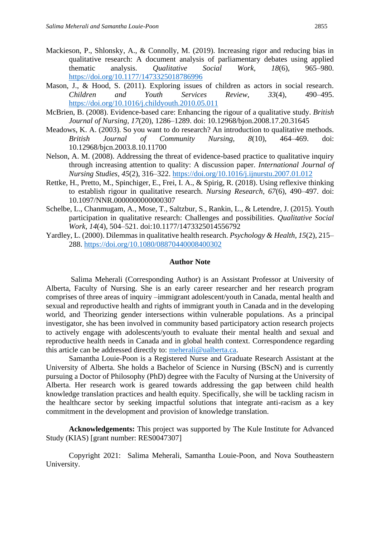- Mackieson, P., Shlonsky, A., & Connolly, M. (2019). Increasing rigor and reducing bias in qualitative research: A document analysis of parliamentary debates using applied thematic analysis. *Qualitative Social Work, 18*(6), 965–980. [https://doi.org/10.1177/1473325018786996](https://doi.org/10.1177%2F1473325018786996)
- Mason, J., & Hood, S. (2011). Exploring issues of children as actors in social research. *Children and Youth Services Review, 33*(4), 490–495. <https://doi.org/10.1016/j.childyouth.2010.05.011>
- McBrien, B. (2008). Evidence-based care: Enhancing the rigour of a qualitative study. *British Journal of Nursing, 17*(20), 1286–1289. doi: 10.12968/bjon.2008.17.20.31645
- Meadows, K. A. (2003). So you want to do research? An introduction to qualitative methods. *British Journal of Community Nursing, 8*(10), 464–469. doi: 10.12968/bjcn.2003.8.10.11700
- Nelson, A. M. (2008). Addressing the threat of evidence-based practice to qualitative inquiry through increasing attention to quality: A discussion paper. *International Journal of Nursing Studies, 45*(2), 316–322.<https://doi.org/10.1016/j.ijnurstu.2007.01.012>
- Rettke, H., Pretto, M., Spinchiger, E., Frei, I. A., & Spirig, R. (2018). Using reflexive thinking to establish rigour in qualitative research. *Nursing Research, 67*(6), 490–497. doi: 10.1097/NNR.0000000000000307
- Schelbe, L., Chanmugam, A., Mose, T., Saltzbur, S., Rankin, L., & Letendre, J. (2015). Youth participation in qualitative research: Challenges and possibilities. *Qualitative Social Work, 14*(4), 504–521. doi:10.1177/1473325014556792
- Yardley, L. (2000). Dilemmas in qualitative health research. *Psychology & Health, 15*(2), 215– 288. [https://doi.org/10.1080/08870440008400302](https://psycnet.apa.org/doi/10.1080/08870440008400302)

### **Author Note**

Salima Meherali (Corresponding Author) is an Assistant Professor at University of Alberta, Faculty of Nursing. She is an early career researcher and her research program comprises of three areas of inquiry –immigrant adolescent/youth in Canada, mental health and sexual and reproductive health and rights of immigrant youth in Canada and in the developing world, and Theorizing gender intersections within vulnerable populations. As a principal investigator, she has been involved in community based participatory action research projects to actively engage with adolescents/youth to evaluate their mental health and sexual and reproductive health needs in Canada and in global health context. Correspondence regarding this article can be addressed directly to: [meherali@ualberta.ca.](mailto:meherali@ualberta.ca)

Samantha Louie-Poon is a Registered Nurse and Graduate Research Assistant at the University of Alberta. She holds a Bachelor of Science in Nursing (BScN) and is currently pursuing a Doctor of Philosophy (PhD) degree with the Faculty of Nursing at the University of Alberta. Her research work is geared towards addressing the gap between child health knowledge translation practices and health equity. Specifically, she will be tackling racism in the healthcare sector by seeking impactful solutions that integrate anti-racism as a key commitment in the development and provision of knowledge translation.

**Acknowledgements:** This project was supported by The Kule Institute for Advanced Study (KIAS) [grant number: RES0047307]

Copyright 2021: Salima Meherali, Samantha Louie-Poon, and Nova Southeastern University.